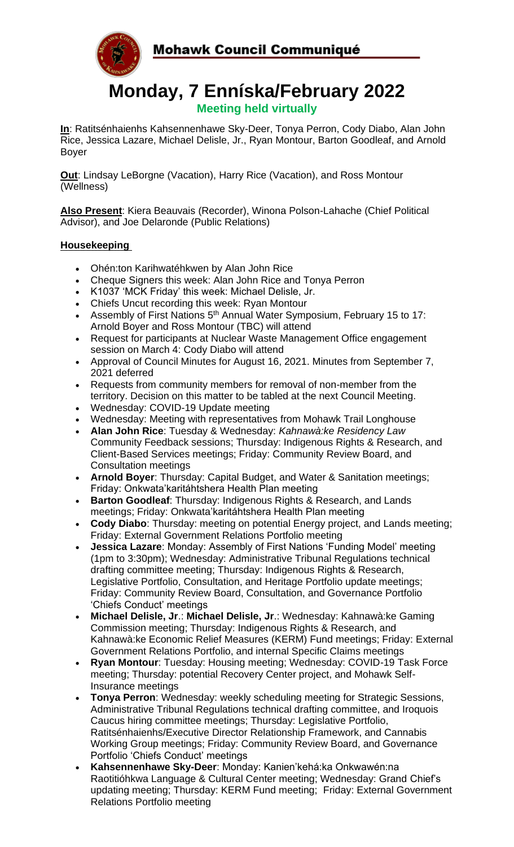



**Monday, 7 Enníska/February 2022 Meeting held virtually**

**In**: Ratitsénhaienhs Kahsennenhawe Sky-Deer, Tonya Perron, Cody Diabo, Alan John Rice, Jessica Lazare, Michael Delisle, Jr., Ryan Montour, Barton Goodleaf, and Arnold Boyer

**Out**: Lindsay LeBorgne (Vacation), Harry Rice (Vacation), and Ross Montour (Wellness)

**Also Present**: Kiera Beauvais (Recorder), Winona Polson-Lahache (Chief Political Advisor), and Joe Delaronde (Public Relations)

## **Housekeeping**

- Ohén:ton Karihwatéhkwen by Alan John Rice
- Cheque Signers this week: Alan John Rice and Tonya Perron
- K1037 'MCK Friday' this week: Michael Delisle, Jr.
- Chiefs Uncut recording this week: Ryan Montour
- Assembly of First Nations 5<sup>th</sup> Annual Water Symposium, February 15 to 17: Arnold Boyer and Ross Montour (TBC) will attend
- Request for participants at Nuclear Waste Management Office engagement session on March 4: Cody Diabo will attend
- Approval of Council Minutes for August 16, 2021. Minutes from September 7, 2021 deferred
- Requests from community members for removal of non-member from the territory. Decision on this matter to be tabled at the next Council Meeting.
- Wednesday: COVID-19 Update meeting
- Wednesday: Meeting with representatives from Mohawk Trail Longhouse
- **Alan John Rice**: Tuesday & Wednesday: *Kahnawà:ke Residency Law* Community Feedback sessions; Thursday: Indigenous Rights & Research, and Client-Based Services meetings; Friday: Community Review Board, and Consultation meetings
- **Arnold Boyer**: Thursday: Capital Budget, and Water & Sanitation meetings; Friday: Onkwata'karitáhtshera Health Plan meeting
- **Barton Goodleaf**: Thursday: Indigenous Rights & Research, and Lands meetings; Friday: Onkwata'karitáhtshera Health Plan meeting
- **Cody Diabo**: Thursday: meeting on potential Energy project, and Lands meeting; Friday: External Government Relations Portfolio meeting
- **Jessica Lazare**: Monday: Assembly of First Nations 'Funding Model' meeting (1pm to 3:30pm); Wednesday: Administrative Tribunal Regulations technical drafting committee meeting; Thursday: Indigenous Rights & Research, Legislative Portfolio, Consultation, and Heritage Portfolio update meetings; Friday: Community Review Board, Consultation, and Governance Portfolio 'Chiefs Conduct' meetings
- **Michael Delisle, Jr**.: **Michael Delisle, Jr**.: Wednesday: Kahnawà:ke Gaming Commission meeting; Thursday: Indigenous Rights & Research, and Kahnawà:ke Economic Relief Measures (KERM) Fund meetings; Friday: External Government Relations Portfolio, and internal Specific Claims meetings
- **Ryan Montour**: Tuesday: Housing meeting; Wednesday: COVID-19 Task Force meeting; Thursday: potential Recovery Center project, and Mohawk Self-Insurance meetings
- **Tonya Perron**: Wednesday: weekly scheduling meeting for Strategic Sessions, Administrative Tribunal Regulations technical drafting committee, and Iroquois Caucus hiring committee meetings; Thursday: Legislative Portfolio, Ratitsénhaienhs/Executive Director Relationship Framework, and Cannabis Working Group meetings; Friday: Community Review Board, and Governance Portfolio 'Chiefs Conduct' meetings
- **Kahsennenhawe Sky-Deer**: Monday: Kanien'kehá:ka Onkwawén:na Raotitióhkwa Language & Cultural Center meeting; Wednesday: Grand Chief's updating meeting; Thursday: KERM Fund meeting; Friday: External Government Relations Portfolio meeting